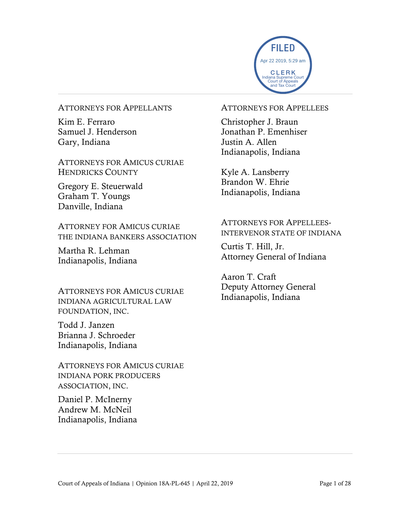

#### ATTORNEYS FOR APPELLANTS

Kim E. Ferraro Samuel J. Henderson Gary, Indiana

ATTORNEYS FOR AMICUS CURIAE HENDRICKS COUNTY

Gregory E. Steuerwald Graham T. Youngs Danville, Indiana

ATTORNEY FOR AMICUS CURIAE THE INDIANA BANKERS ASSOCIATION

Martha R. Lehman Indianapolis, Indiana

ATTORNEYS FOR AMICUS CURIAE INDIANA AGRICULTURAL LAW FOUNDATION, INC.

Todd J. Janzen Brianna J. Schroeder Indianapolis, Indiana

ATTORNEYS FOR AMICUS CURIAE INDIANA PORK PRODUCERS ASSOCIATION, INC.

Daniel P. McInerny Andrew M. McNeil Indianapolis, Indiana

#### ATTORNEYS FOR APPELLEES

Christopher J. Braun Jonathan P. Emenhiser Justin A. Allen Indianapolis, Indiana

Kyle A. Lansberry Brandon W. Ehrie Indianapolis, Indiana

## ATTORNEYS FOR APPELLEES-INTERVENOR STATE OF INDIANA

Curtis T. Hill, Jr. Attorney General of Indiana

Aaron T. Craft Deputy Attorney General Indianapolis, Indiana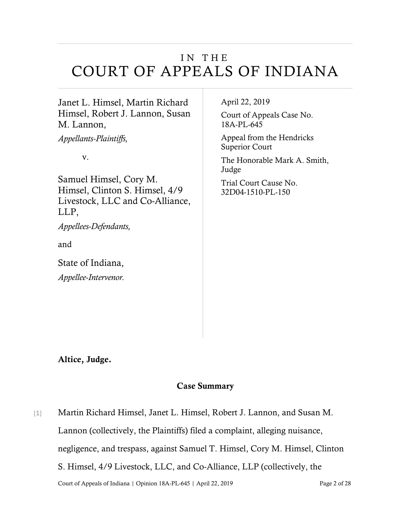# IN THE COURT OF APPEALS OF INDIANA

Janet L. Himsel, Martin Richard Himsel, Robert J. Lannon, Susan M. Lannon,

*Appellants-Plaintiffs,*

v.

Samuel Himsel, Cory M. Himsel, Clinton S. Himsel, 4/9 Livestock, LLC and Co-Alliance, LLP,

*Appellees-Defendants,*

and

State of Indiana, *Appellee-Intervenor.* April 22, 2019

Court of Appeals Case No. 18A-PL-645

Appeal from the Hendricks Superior Court

The Honorable Mark A. Smith, Judge Trial Court Cause No.

32D04-1510-PL-150

Altice, Judge.

## Case Summary

Court of Appeals of Indiana | Opinion 18A-PL-645 | April 22, 2019 Page 2 of 28 [1] Martin Richard Himsel, Janet L. Himsel, Robert J. Lannon, and Susan M. Lannon (collectively, the Plaintiffs) filed a complaint, alleging nuisance, negligence, and trespass, against Samuel T. Himsel, Cory M. Himsel, Clinton S. Himsel, 4/9 Livestock, LLC, and Co-Alliance, LLP (collectively, the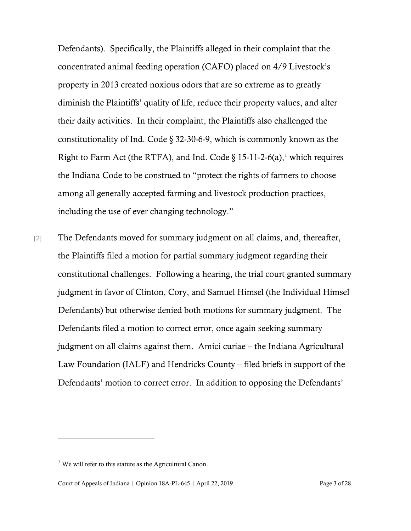Defendants). Specifically, the Plaintiffs alleged in their complaint that the concentrated animal feeding operation (CAFO) placed on 4/9 Livestock's property in 2013 created noxious odors that are so extreme as to greatly diminish the Plaintiffs' quality of life, reduce their property values, and alter their daily activities. In their complaint, the Plaintiffs also challenged the constitutionality of Ind. Code § 32-30-6-9, which is commonly known as the Right to Farm Act (the RTFA), and Ind. Code  $\S 15{\text -}11{\text -}2{\text -}6(a)$  $\S 15{\text -}11{\text -}2{\text -}6(a)$  $\S 15{\text -}11{\text -}2{\text -}6(a)$ , which requires the Indiana Code to be construed to "protect the rights of farmers to choose among all generally accepted farming and livestock production practices, including the use of ever changing technology."

[2] The Defendants moved for summary judgment on all claims, and, thereafter, the Plaintiffs filed a motion for partial summary judgment regarding their constitutional challenges. Following a hearing, the trial court granted summary judgment in favor of Clinton, Cory, and Samuel Himsel (the Individual Himsel Defendants) but otherwise denied both motions for summary judgment. The Defendants filed a motion to correct error, once again seeking summary judgment on all claims against them. Amici curiae – the Indiana Agricultural Law Foundation (IALF) and Hendricks County – filed briefs in support of the Defendants' motion to correct error. In addition to opposing the Defendants'

<span id="page-2-0"></span> $1$  We will refer to this statute as the Agricultural Canon.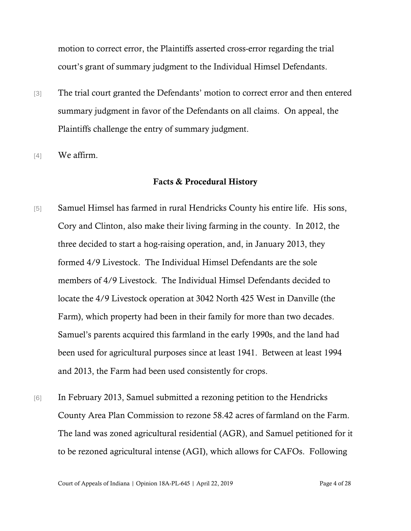motion to correct error, the Plaintiffs asserted cross-error regarding the trial court's grant of summary judgment to the Individual Himsel Defendants.

- [3] The trial court granted the Defendants' motion to correct error and then entered summary judgment in favor of the Defendants on all claims. On appeal, the Plaintiffs challenge the entry of summary judgment.
- [4] We affirm.

#### Facts & Procedural History

- [5] Samuel Himsel has farmed in rural Hendricks County his entire life. His sons, Cory and Clinton, also make their living farming in the county. In 2012, the three decided to start a hog-raising operation, and, in January 2013, they formed 4/9 Livestock. The Individual Himsel Defendants are the sole members of 4/9 Livestock. The Individual Himsel Defendants decided to locate the 4/9 Livestock operation at 3042 North 425 West in Danville (the Farm), which property had been in their family for more than two decades. Samuel's parents acquired this farmland in the early 1990s, and the land had been used for agricultural purposes since at least 1941. Between at least 1994 and 2013, the Farm had been used consistently for crops.
- [6] In February 2013, Samuel submitted a rezoning petition to the Hendricks County Area Plan Commission to rezone 58.42 acres of farmland on the Farm. The land was zoned agricultural residential (AGR), and Samuel petitioned for it to be rezoned agricultural intense (AGI), which allows for CAFOs. Following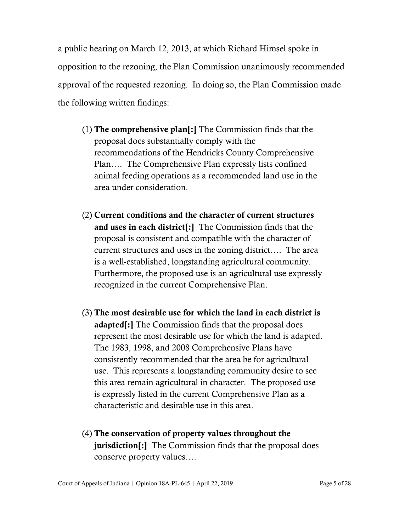a public hearing on March 12, 2013, at which Richard Himsel spoke in opposition to the rezoning, the Plan Commission unanimously recommended approval of the requested rezoning. In doing so, the Plan Commission made the following written findings:

- (1) The comprehensive plan[:] The Commission finds that the proposal does substantially comply with the recommendations of the Hendricks County Comprehensive Plan…. The Comprehensive Plan expressly lists confined animal feeding operations as a recommended land use in the area under consideration.
- (2) Current conditions and the character of current structures and uses in each district[:] The Commission finds that the proposal is consistent and compatible with the character of current structures and uses in the zoning district…. The area is a well-established, longstanding agricultural community. Furthermore, the proposed use is an agricultural use expressly recognized in the current Comprehensive Plan.
- (3) The most desirable use for which the land in each district is adapted[:] The Commission finds that the proposal does represent the most desirable use for which the land is adapted. The 1983, 1998, and 2008 Comprehensive Plans have consistently recommended that the area be for agricultural use. This represents a longstanding community desire to see this area remain agricultural in character. The proposed use is expressly listed in the current Comprehensive Plan as a characteristic and desirable use in this area.
- (4) The conservation of property values throughout the jurisdiction[:] The Commission finds that the proposal does conserve property values….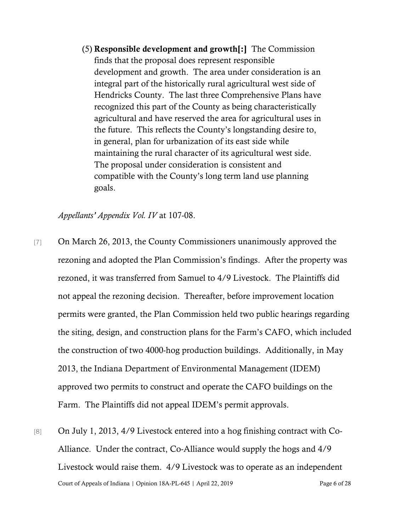(5) Responsible development and growth[:] The Commission finds that the proposal does represent responsible development and growth. The area under consideration is an integral part of the historically rural agricultural west side of Hendricks County. The last three Comprehensive Plans have recognized this part of the County as being characteristically agricultural and have reserved the area for agricultural uses in the future. This reflects the County's longstanding desire to, in general, plan for urbanization of its east side while maintaining the rural character of its agricultural west side. The proposal under consideration is consistent and compatible with the County's long term land use planning goals.

*Appellants' Appendix Vol. IV* at 107-08.

- [7] On March 26, 2013, the County Commissioners unanimously approved the rezoning and adopted the Plan Commission's findings. After the property was rezoned, it was transferred from Samuel to 4/9 Livestock. The Plaintiffs did not appeal the rezoning decision. Thereafter, before improvement location permits were granted, the Plan Commission held two public hearings regarding the siting, design, and construction plans for the Farm's CAFO, which included the construction of two 4000-hog production buildings. Additionally, in May 2013, the Indiana Department of Environmental Management (IDEM) approved two permits to construct and operate the CAFO buildings on the Farm. The Plaintiffs did not appeal IDEM's permit approvals.
- Court of Appeals of Indiana | Opinion 18A-PL-645 | April 22, 2019 Page 6 of 28 [8] On July 1, 2013, 4/9 Livestock entered into a hog finishing contract with Co-Alliance. Under the contract, Co-Alliance would supply the hogs and 4/9 Livestock would raise them. 4/9 Livestock was to operate as an independent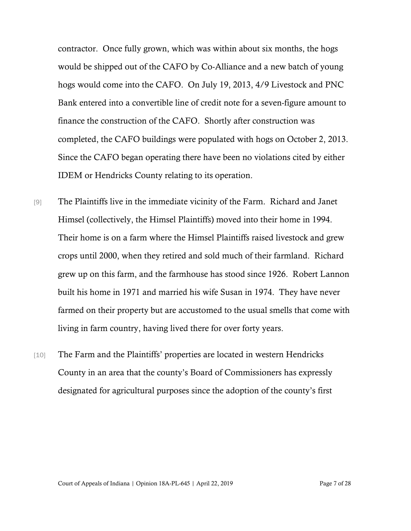contractor. Once fully grown, which was within about six months, the hogs would be shipped out of the CAFO by Co-Alliance and a new batch of young hogs would come into the CAFO. On July 19, 2013, 4/9 Livestock and PNC Bank entered into a convertible line of credit note for a seven-figure amount to finance the construction of the CAFO. Shortly after construction was completed, the CAFO buildings were populated with hogs on October 2, 2013. Since the CAFO began operating there have been no violations cited by either IDEM or Hendricks County relating to its operation.

- [9] The Plaintiffs live in the immediate vicinity of the Farm. Richard and Janet Himsel (collectively, the Himsel Plaintiffs) moved into their home in 1994. Their home is on a farm where the Himsel Plaintiffs raised livestock and grew crops until 2000, when they retired and sold much of their farmland. Richard grew up on this farm, and the farmhouse has stood since 1926. Robert Lannon built his home in 1971 and married his wife Susan in 1974. They have never farmed on their property but are accustomed to the usual smells that come with living in farm country, having lived there for over forty years.
- [10] The Farm and the Plaintiffs' properties are located in western Hendricks County in an area that the county's Board of Commissioners has expressly designated for agricultural purposes since the adoption of the county's first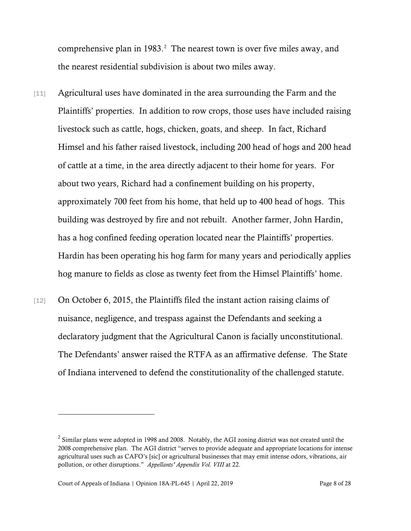comprehensive plan in  $1983<sup>2</sup>$  $1983<sup>2</sup>$  $1983<sup>2</sup>$ . The nearest town is over five miles away, and the nearest residential subdivision is about two miles away.

- [11] Agricultural uses have dominated in the area surrounding the Farm and the Plaintiffs' properties. In addition to row crops, those uses have included raising livestock such as cattle, hogs, chicken, goats, and sheep. In fact, Richard Himsel and his father raised livestock, including 200 head of hogs and 200 head of cattle at a time, in the area directly adjacent to their home for years. For about two years, Richard had a confinement building on his property, approximately 700 feet from his home, that held up to 400 head of hogs. This building was destroyed by fire and not rebuilt. Another farmer, John Hardin, has a hog confined feeding operation located near the Plaintiffs' properties. Hardin has been operating his hog farm for many years and periodically applies hog manure to fields as close as twenty feet from the Himsel Plaintiffs' home.
- [12] On October 6, 2015, the Plaintiffs filed the instant action raising claims of nuisance, negligence, and trespass against the Defendants and seeking a declaratory judgment that the Agricultural Canon is facially unconstitutional. The Defendants' answer raised the RTFA as an affirmative defense. The State of Indiana intervened to defend the constitutionality of the challenged statute.

<span id="page-7-0"></span> $<sup>2</sup>$  Similar plans were adopted in 1998 and 2008. Notably, the AGI zoning district was not created until the</sup> 2008 comprehensive plan. The AGI district "serves to provide adequate and appropriate locations for intense agricultural uses such as CAFO's [sic] or agricultural businesses that may emit intense odors, vibrations, air pollution, or other disruptions." *Appellants' Appendix Vol. VIII* at 22.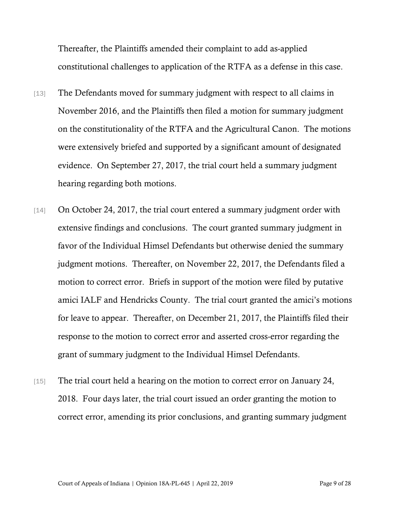Thereafter, the Plaintiffs amended their complaint to add as-applied constitutional challenges to application of the RTFA as a defense in this case.

- [13] The Defendants moved for summary judgment with respect to all claims in November 2016, and the Plaintiffs then filed a motion for summary judgment on the constitutionality of the RTFA and the Agricultural Canon. The motions were extensively briefed and supported by a significant amount of designated evidence. On September 27, 2017, the trial court held a summary judgment hearing regarding both motions.
- [14] On October 24, 2017, the trial court entered a summary judgment order with extensive findings and conclusions. The court granted summary judgment in favor of the Individual Himsel Defendants but otherwise denied the summary judgment motions. Thereafter, on November 22, 2017, the Defendants filed a motion to correct error. Briefs in support of the motion were filed by putative amici IALF and Hendricks County. The trial court granted the amici's motions for leave to appear. Thereafter, on December 21, 2017, the Plaintiffs filed their response to the motion to correct error and asserted cross-error regarding the grant of summary judgment to the Individual Himsel Defendants.
- [15] The trial court held a hearing on the motion to correct error on January 24, 2018. Four days later, the trial court issued an order granting the motion to correct error, amending its prior conclusions, and granting summary judgment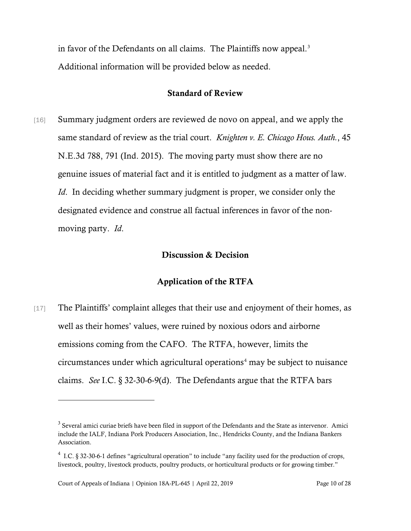in favor of the Defendants on all claims. The Plaintiffs now appeal. $3$ Additional information will be provided below as needed.

## Standard of Review

[16] Summary judgment orders are reviewed de novo on appeal, and we apply the same standard of review as the trial court. *Knighten v. E. Chicago Hous. Auth.*, 45 N.E.3d 788, 791 (Ind. 2015). The moving party must show there are no genuine issues of material fact and it is entitled to judgment as a matter of law. *Id.* In deciding whether summary judgment is proper, we consider only the designated evidence and construe all factual inferences in favor of the nonmoving party. *Id*.

### Discussion & Decision

## Application of the RTFA

[17] The Plaintiffs' complaint alleges that their use and enjoyment of their homes, as well as their homes' values, were ruined by noxious odors and airborne emissions coming from the CAFO. The RTFA, however, limits the circumstances under which agricultural operations<sup>[4](#page-9-1)</sup> may be subject to nuisance claims. *See* I.C. § 32-30-6-9(d). The Defendants argue that the RTFA bars

<span id="page-9-0"></span><sup>&</sup>lt;sup>3</sup> Several amici curiae briefs have been filed in support of the Defendants and the State as intervenor. Amici include the IALF, Indiana Pork Producers Association, Inc., Hendricks County, and the Indiana Bankers Association.

<span id="page-9-1"></span> $4$  I.C. § 32-30-6-1 defines "agricultural operation" to include "any facility used for the production of crops, livestock, poultry, livestock products, poultry products, or horticultural products or for growing timber."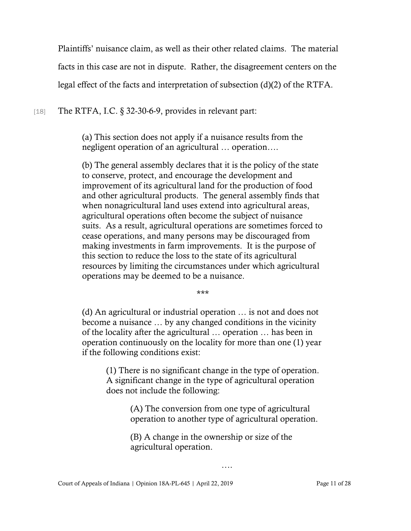Plaintiffs' nuisance claim, as well as their other related claims. The material facts in this case are not in dispute. Rather, the disagreement centers on the legal effect of the facts and interpretation of subsection (d)(2) of the RTFA.

[18] The RTFA, I.C.  $\S$  32-30-6-9, provides in relevant part:

(a) This section does not apply if a nuisance results from the negligent operation of an agricultural … operation….

(b) The general assembly declares that it is the policy of the state to conserve, protect, and encourage the development and improvement of its agricultural land for the production of food and other agricultural products. The general assembly finds that when nonagricultural land uses extend into agricultural areas, agricultural operations often become the subject of nuisance suits. As a result, agricultural operations are sometimes forced to cease operations, and many persons may be discouraged from making investments in farm improvements. It is the purpose of this section to reduce the loss to the state of its agricultural resources by limiting the circumstances under which agricultural operations may be deemed to be a nuisance.

\*\*\*

(d) An agricultural or industrial operation … is not and does not become a nuisance … by any changed conditions in the vicinity of the locality after the agricultural … operation … has been in operation continuously on the locality for more than one (1) year if the following conditions exist:

(1) There is no significant change in the type of operation. A significant change in the type of agricultural operation does not include the following:

> (A) The conversion from one type of agricultural operation to another type of agricultural operation.

> > ….

(B) A change in the ownership or size of the agricultural operation.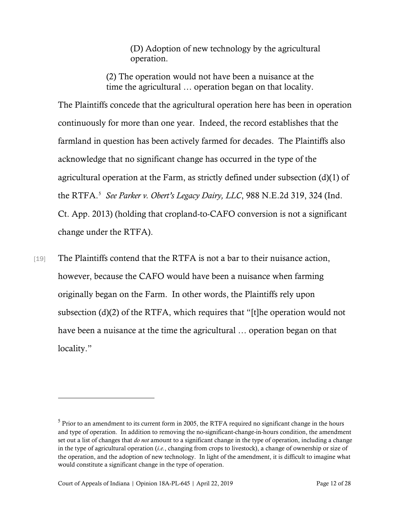(D) Adoption of new technology by the agricultural operation.

(2) The operation would not have been a nuisance at the time the agricultural … operation began on that locality.

The Plaintiffs concede that the agricultural operation here has been in operation continuously for more than one year. Indeed, the record establishes that the farmland in question has been actively farmed for decades. The Plaintiffs also acknowledge that no significant change has occurred in the type of the agricultural operation at the Farm, as strictly defined under subsection (d)(1) of the RTFA.[5](#page-11-0) *See Parker v. Obert's Legacy Dairy, LLC*, 988 N.E.2d 319, 324 (Ind. Ct. App. 2013) (holding that cropland-to-CAFO conversion is not a significant change under the RTFA).

[19] The Plaintiffs contend that the RTFA is not a bar to their nuisance action, however, because the CAFO would have been a nuisance when farming originally began on the Farm. In other words, the Plaintiffs rely upon subsection (d)(2) of the RTFA, which requires that "[t]he operation would not have been a nuisance at the time the agricultural … operation began on that locality."

<span id="page-11-0"></span><sup>&</sup>lt;sup>5</sup> Prior to an amendment to its current form in 2005, the RTFA required no significant change in the hours and type of operation. In addition to removing the no-significant-change-in-hours condition, the amendment set out a list of changes that *do not* amount to a significant change in the type of operation, including a change in the type of agricultural operation (*i.e.*, changing from crops to livestock), a change of ownership or size of the operation, and the adoption of new technology. In light of the amendment, it is difficult to imagine what would constitute a significant change in the type of operation.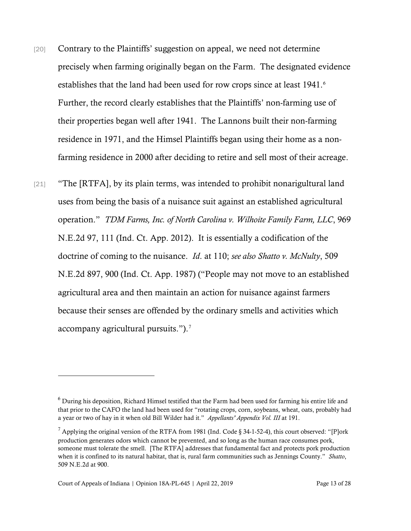- [20] Contrary to the Plaintiffs' suggestion on appeal, we need not determine precisely when farming originally began on the Farm. The designated evidence establishes that the land had been used for row crops since at least 1941. [6](#page-12-0) Further, the record clearly establishes that the Plaintiffs' non-farming use of their properties began well after 1941. The Lannons built their non-farming residence in 1971, and the Himsel Plaintiffs began using their home as a nonfarming residence in 2000 after deciding to retire and sell most of their acreage.
- [21] "The [RTFA], by its plain terms, was intended to prohibit nonarigultural land uses from being the basis of a nuisance suit against an established agricultural operation." *TDM Farms, Inc. of North Carolina v. Wilhoite Family Farm, LLC*, 969 N.E.2d 97, 111 (Ind. Ct. App. 2012). It is essentially a codification of the doctrine of coming to the nuisance. *Id*. at 110; *see also Shatto v. McNulty*, 509 N.E.2d 897, 900 (Ind. Ct. App. 1987) ("People may not move to an established agricultural area and then maintain an action for nuisance against farmers because their senses are offended by the ordinary smells and activities which accompany agricultural pursuits."). [7](#page-12-1)

<span id="page-12-0"></span> $^6$  During his deposition, Richard Himsel testified that the Farm had been used for farming his entire life and that prior to the CAFO the land had been used for "rotating crops, corn, soybeans, wheat, oats, probably had a year or two of hay in it when old Bill Wilder had it." *Appellants' Appendix Vol. III* at 191.

<span id="page-12-1"></span> $7$  Applying the original version of the RTFA from 1981 (Ind. Code § 34-1-52-4), this court observed: "[P]ork production generates odors which cannot be prevented, and so long as the human race consumes pork, someone must tolerate the smell. [The RTFA] addresses that fundamental fact and protects pork production when it is confined to its natural habitat, that is, rural farm communities such as Jennings County." *Shatto*, 509 N.E.2d at 900.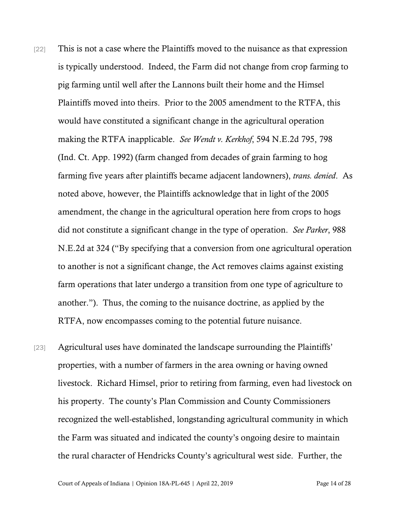- [22] This is not a case where the Plaintiffs moved to the nuisance as that expression is typically understood. Indeed, the Farm did not change from crop farming to pig farming until well after the Lannons built their home and the Himsel Plaintiffs moved into theirs. Prior to the 2005 amendment to the RTFA, this would have constituted a significant change in the agricultural operation making the RTFA inapplicable. *See Wendt v. Kerkhof*, 594 N.E.2d 795, 798 (Ind. Ct. App. 1992) (farm changed from decades of grain farming to hog farming five years after plaintiffs became adjacent landowners), *trans. denied*. As noted above, however, the Plaintiffs acknowledge that in light of the 2005 amendment, the change in the agricultural operation here from crops to hogs did not constitute a significant change in the type of operation. *See Parker*, 988 N.E.2d at 324 ("By specifying that a conversion from one agricultural operation to another is not a significant change, the Act removes claims against existing farm operations that later undergo a transition from one type of agriculture to another."). Thus, the coming to the nuisance doctrine, as applied by the RTFA, now encompasses coming to the potential future nuisance.
- [23] Agricultural uses have dominated the landscape surrounding the Plaintiffs' properties, with a number of farmers in the area owning or having owned livestock. Richard Himsel, prior to retiring from farming, even had livestock on his property. The county's Plan Commission and County Commissioners recognized the well-established, longstanding agricultural community in which the Farm was situated and indicated the county's ongoing desire to maintain the rural character of Hendricks County's agricultural west side. Further, the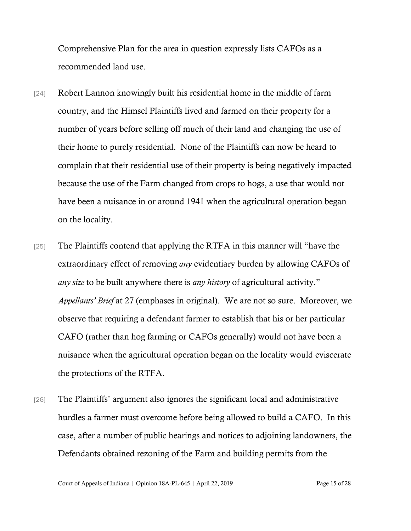Comprehensive Plan for the area in question expressly lists CAFOs as a recommended land use.

- [24] Robert Lannon knowingly built his residential home in the middle of farm country, and the Himsel Plaintiffs lived and farmed on their property for a number of years before selling off much of their land and changing the use of their home to purely residential. None of the Plaintiffs can now be heard to complain that their residential use of their property is being negatively impacted because the use of the Farm changed from crops to hogs, a use that would not have been a nuisance in or around 1941 when the agricultural operation began on the locality.
- [25] The Plaintiffs contend that applying the RTFA in this manner will "have the extraordinary effect of removing *any* evidentiary burden by allowing CAFOs of *any size* to be built anywhere there is *any history* of agricultural activity." *Appellants' Brief* at 27 (emphases in original). We are not so sure. Moreover, we observe that requiring a defendant farmer to establish that his or her particular CAFO (rather than hog farming or CAFOs generally) would not have been a nuisance when the agricultural operation began on the locality would eviscerate the protections of the RTFA.
- [26] The Plaintiffs' argument also ignores the significant local and administrative hurdles a farmer must overcome before being allowed to build a CAFO. In this case, after a number of public hearings and notices to adjoining landowners, the Defendants obtained rezoning of the Farm and building permits from the

Court of Appeals of Indiana | Opinion 18A-PL-645 | April 22, 2019 Page 15 of 28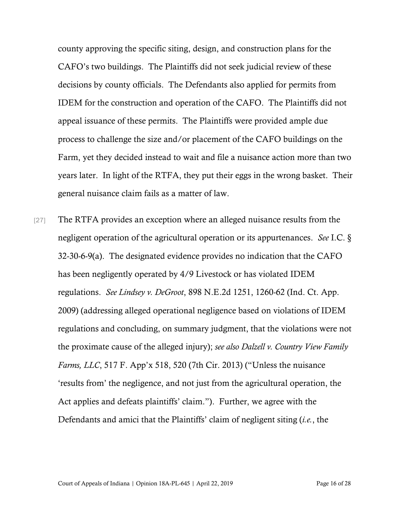county approving the specific siting, design, and construction plans for the CAFO's two buildings. The Plaintiffs did not seek judicial review of these decisions by county officials. The Defendants also applied for permits from IDEM for the construction and operation of the CAFO. The Plaintiffs did not appeal issuance of these permits. The Plaintiffs were provided ample due process to challenge the size and/or placement of the CAFO buildings on the Farm, yet they decided instead to wait and file a nuisance action more than two years later. In light of the RTFA, they put their eggs in the wrong basket. Their general nuisance claim fails as a matter of law.

[27] The RTFA provides an exception where an alleged nuisance results from the negligent operation of the agricultural operation or its appurtenances. *See* I.C. § 32-30-6-9(a). The designated evidence provides no indication that the CAFO has been negligently operated by 4/9 Livestock or has violated IDEM regulations. *See Lindsey v. DeGroot*, 898 N.E.2d 1251, 1260-62 (Ind. Ct. App. 2009) (addressing alleged operational negligence based on violations of IDEM regulations and concluding, on summary judgment, that the violations were not the proximate cause of the alleged injury); *see also Dalzell v. Country View Family Farms, LLC*, 517 F. App'x 518, 520 (7th Cir. 2013) ("Unless the nuisance 'results from' the negligence, and not just from the agricultural operation, the Act applies and defeats plaintiffs' claim."). Further, we agree with the Defendants and amici that the Plaintiffs' claim of negligent siting (*i.e.*, the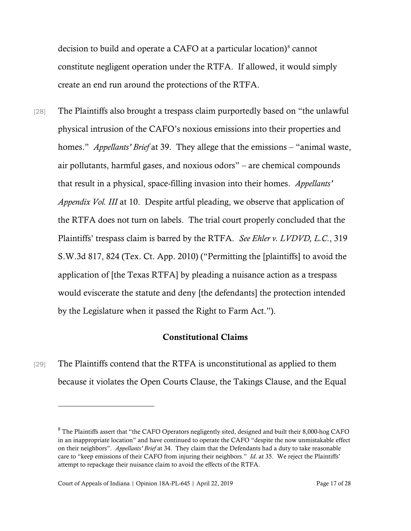decision to build and operate a CAFO at a particular location)<sup>[8](#page-16-0)</sup> cannot constitute negligent operation under the RTFA. If allowed, it would simply create an end run around the protections of the RTFA.

[28] The Plaintiffs also brought a trespass claim purportedly based on "the unlawful physical intrusion of the CAFO's noxious emissions into their properties and homes." *Appellants' Brief* at 39. They allege that the emissions – "animal waste, air pollutants, harmful gases, and noxious odors" – are chemical compounds that result in a physical, space-filling invasion into their homes. *Appellants' Appendix Vol. III* at 10. Despite artful pleading, we observe that application of the RTFA does not turn on labels. The trial court properly concluded that the Plaintiffs' trespass claim is barred by the RTFA. *See Ehler v. LVDVD, L.C*., 319 S.W.3d 817, 824 (Tex. Ct. App. 2010) ("Permitting the [plaintiffs] to avoid the application of [the Texas RTFA] by pleading a nuisance action as a trespass would eviscerate the statute and deny [the defendants] the protection intended by the Legislature when it passed the Right to Farm Act.").

## Constitutional Claims

[29] The Plaintiffs contend that the RTFA is unconstitutional as applied to them because it violates the Open Courts Clause, the Takings Clause, and the Equal

<span id="page-16-0"></span><sup>&</sup>lt;sup>8</sup> The Plaintiffs assert that "the CAFO Operators negligently sited, designed and built their 8,000-hog CAFO in an inappropriate location" and have continued to operate the CAFO "despite the now unmistakable effect on their neighbors". *Appellants' Brief* at 34. They claim that the Defendants had a duty to take reasonable care to "keep emissions of their CAFO from injuring their neighbors." *Id*. at 35. We reject the Plaintiffs' attempt to repackage their nuisance claim to avoid the effects of the RTFA.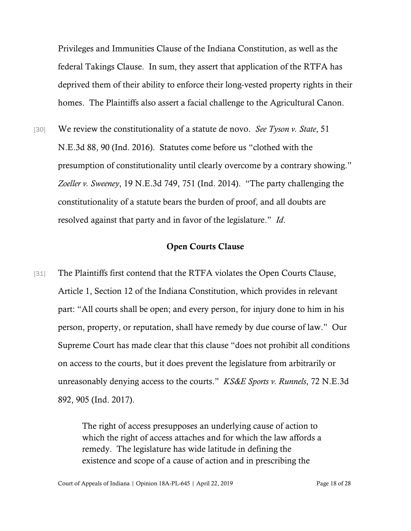Privileges and Immunities Clause of the Indiana Constitution, as well as the federal Takings Clause. In sum, they assert that application of the RTFA has deprived them of their ability to enforce their long-vested property rights in their homes. The Plaintiffs also assert a facial challenge to the Agricultural Canon.

[30] We review the constitutionality of a statute de novo. *See Tyson v. State*, 51 N.E.3d 88, 90 (Ind. 2016). Statutes come before us "clothed with the presumption of constitutionality until clearly overcome by a contrary showing." *Zoeller v. Sweeney*, 19 N.E.3d 749, 751 (Ind. 2014). "The party challenging the constitutionality of a statute bears the burden of proof, and all doubts are resolved against that party and in favor of the legislature." *Id*.

## Open Courts Clause

[31] The Plaintiffs first contend that the RTFA violates the Open Courts Clause, Article 1, Section 12 of the Indiana Constitution, which provides in relevant part: "All courts shall be open; and every person, for injury done to him in his person, property, or reputation, shall have remedy by due course of law." Our Supreme Court has made clear that this clause "does not prohibit all conditions on access to the courts, but it does prevent the legislature from arbitrarily or unreasonably denying access to the courts." *KS&E Sports v. Runnels*, 72 N.E.3d 892, 905 (Ind. 2017).

> The right of access presupposes an underlying cause of action to which the right of access attaches and for which the law affords a remedy. The legislature has wide latitude in defining the existence and scope of a cause of action and in prescribing the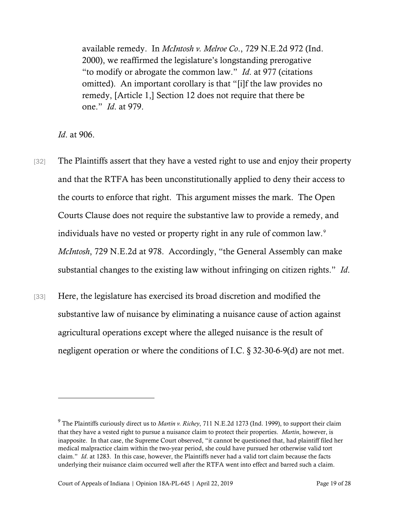available remedy. In *McIntosh v. Melroe Co*., 729 N.E.2d 972 (Ind. 2000), we reaffirmed the legislature's longstanding prerogative "to modify or abrogate the common law." *Id*. at 977 (citations omitted). An important corollary is that "[i]f the law provides no remedy, [Article 1,] Section 12 does not require that there be one." *Id*. at 979.

*Id*. at 906.

- [32] The Plaintiffs assert that they have a vested right to use and enjoy their property and that the RTFA has been unconstitutionally applied to deny their access to the courts to enforce that right. This argument misses the mark. The Open Courts Clause does not require the substantive law to provide a remedy, and individuals have no vested or property right in any rule of common law.<sup>[9](#page-18-0)</sup> *McIntosh*, 729 N.E.2d at 978. Accordingly, "the General Assembly can make substantial changes to the existing law without infringing on citizen rights." *Id*.
- [33] Here, the legislature has exercised its broad discretion and modified the substantive law of nuisance by eliminating a nuisance cause of action against agricultural operations except where the alleged nuisance is the result of negligent operation or where the conditions of I.C. § 32-30-6-9(d) are not met.

<span id="page-18-0"></span><sup>9</sup> The Plaintiffs curiously direct us to *Martin v. Richey*, 711 N.E.2d 1273 (Ind. 1999), to support their claim that they have a vested right to pursue a nuisance claim to protect their properties. *Martin*, however, is inapposite. In that case, the Supreme Court observed, "it cannot be questioned that, had plaintiff filed her medical malpractice claim within the two-year period, she could have pursued her otherwise valid tort claim." *Id*. at 1283. In this case, however, the Plaintiffs never had a valid tort claim because the facts underlying their nuisance claim occurred well after the RTFA went into effect and barred such a claim.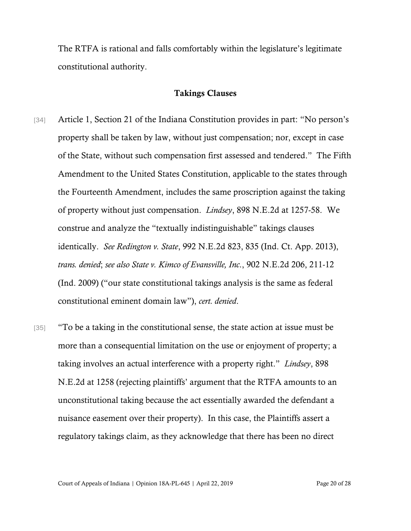The RTFA is rational and falls comfortably within the legislature's legitimate constitutional authority.

#### Takings Clauses

- [34] Article 1, Section 21 of the Indiana Constitution provides in part: "No person's property shall be taken by law, without just compensation; nor, except in case of the State, without such compensation first assessed and tendered." The Fifth Amendment to the United States Constitution, applicable to the states through the Fourteenth Amendment, includes the same proscription against the taking of property without just compensation. *Lindsey*, 898 N.E.2d at 1257-58. We construe and analyze the "textually indistinguishable" takings clauses identically. *See Redington v. State*, 992 N.E.2d 823, 835 (Ind. Ct. App. 2013), *trans. denied*; *see also State v. Kimco of Evansville, Inc*., 902 N.E.2d 206, 211-12 (Ind. 2009) ("our state constitutional takings analysis is the same as federal constitutional eminent domain law"), *cert. denied*.
- [35] "To be a taking in the constitutional sense, the state action at issue must be more than a consequential limitation on the use or enjoyment of property; a taking involves an actual interference with a property right." *Lindsey*, 898 N.E.2d at 1258 (rejecting plaintiffs' argument that the RTFA amounts to an unconstitutional taking because the act essentially awarded the defendant a nuisance easement over their property). In this case, the Plaintiffs assert a regulatory takings claim, as they acknowledge that there has been no direct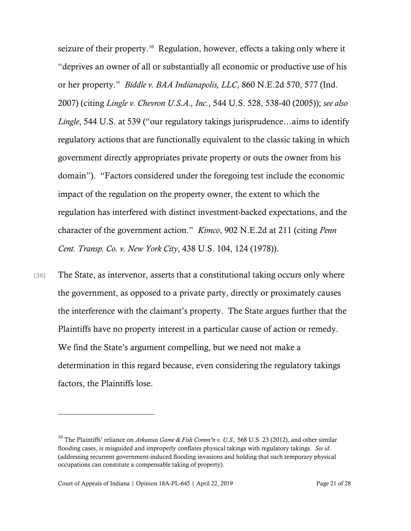seizure of their property.<sup>[10](#page-20-0)</sup> Regulation, however, effects a taking only where it "deprives an owner of all or substantially all economic or productive use of his or her property." *Biddle v. BAA Indianapolis, LLC*, 860 N.E.2d 570, 577 (Ind. 2007) (citing *Lingle v. Chevron U.S.A., Inc*., 544 U.S. 528, 538-40 (2005)); *see also Lingle*, 544 U.S. at 539 ("our regulatory takings jurisprudence…aims to identify regulatory actions that are functionally equivalent to the classic taking in which government directly appropriates private property or outs the owner from his domain"). "Factors considered under the foregoing test include the economic impact of the regulation on the property owner, the extent to which the regulation has interfered with distinct investment-backed expectations, and the character of the government action." *Kimco*, 902 N.E.2d at 211 (citing *Penn Cent. Transp. Co. v. New York City*, 438 U.S. 104, 124 (1978)).

[36] The State, as intervenor, asserts that a constitutional taking occurs only where the government, as opposed to a private party, directly or proximately causes the interference with the claimant's property. The State argues further that the Plaintiffs have no property interest in a particular cause of action or remedy. We find the State's argument compelling, but we need not make a determination in this regard because, even considering the regulatory takings factors, the Plaintiffs lose.

<span id="page-20-0"></span><sup>10</sup> The Plaintiffs' reliance on *Arkansas Game & Fish Comm'n v. U.S.,* 568 U.S. 23 (2012), and other similar flooding cases, is misguided and improperly conflates physical takings with regulatory takings. *See id*. (addressing recurrent government-induced flooding invasions and holding that such temporary physical occupations can constitute a compensable taking of property).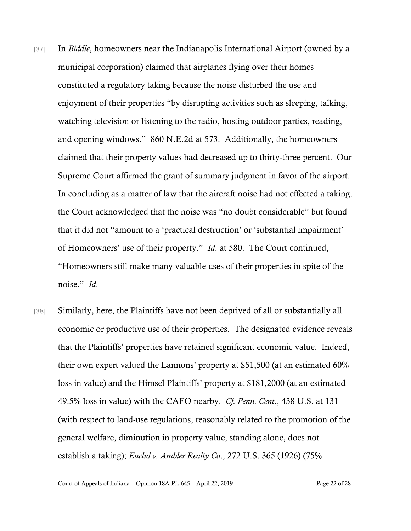- [37] In *Biddle*, homeowners near the Indianapolis International Airport (owned by a municipal corporation) claimed that airplanes flying over their homes constituted a regulatory taking because the noise disturbed the use and enjoyment of their properties "by disrupting activities such as sleeping, talking, watching television or listening to the radio, hosting outdoor parties, reading, and opening windows." 860 N.E.2d at 573. Additionally, the homeowners claimed that their property values had decreased up to thirty-three percent. Our Supreme Court affirmed the grant of summary judgment in favor of the airport. In concluding as a matter of law that the aircraft noise had not effected a taking, the Court acknowledged that the noise was "no doubt considerable" but found that it did not "amount to a 'practical destruction' or 'substantial impairment' of Homeowners' use of their property." *Id*. at 580. The Court continued, "Homeowners still make many valuable uses of their properties in spite of the noise." *Id*.
- [38] Similarly, here, the Plaintiffs have not been deprived of all or substantially all economic or productive use of their properties. The designated evidence reveals that the Plaintiffs' properties have retained significant economic value. Indeed, their own expert valued the Lannons' property at \$51,500 (at an estimated 60% loss in value) and the Himsel Plaintiffs' property at \$181,2000 (at an estimated 49.5% loss in value) with the CAFO nearby. *Cf. Penn. Cent*., 438 U.S. at 131 (with respect to land-use regulations, reasonably related to the promotion of the general welfare, diminution in property value, standing alone, does not establish a taking); *Euclid v. Ambler Realty Co*., 272 U.S. 365 (1926) (75%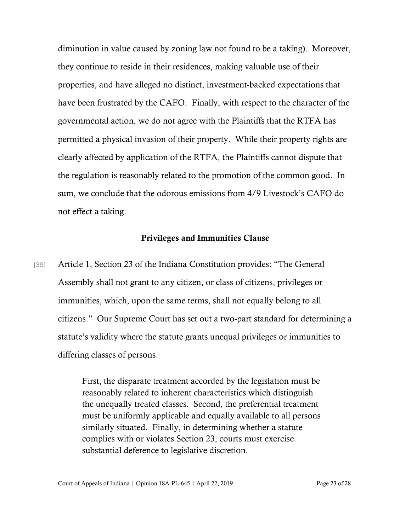diminution in value caused by zoning law not found to be a taking). Moreover, they continue to reside in their residences, making valuable use of their properties, and have alleged no distinct, investment-backed expectations that have been frustrated by the CAFO. Finally, with respect to the character of the governmental action, we do not agree with the Plaintiffs that the RTFA has permitted a physical invasion of their property. While their property rights are clearly affected by application of the RTFA, the Plaintiffs cannot dispute that the regulation is reasonably related to the promotion of the common good. In sum, we conclude that the odorous emissions from 4/9 Livestock's CAFO do not effect a taking.

#### Privileges and Immunities Clause

[39] Article 1, Section 23 of the Indiana Constitution provides: "The General Assembly shall not grant to any citizen, or class of citizens, privileges or immunities, which, upon the same terms, shall not equally belong to all citizens." Our Supreme Court has set out a two-part standard for determining a statute's validity where the statute grants unequal privileges or immunities to differing classes of persons.

> First, the disparate treatment accorded by the legislation must be reasonably related to inherent characteristics which distinguish the unequally treated classes. Second, the preferential treatment must be uniformly applicable and equally available to all persons similarly situated. Finally, in determining whether a statute complies with or violates Section 23, courts must exercise substantial deference to legislative discretion.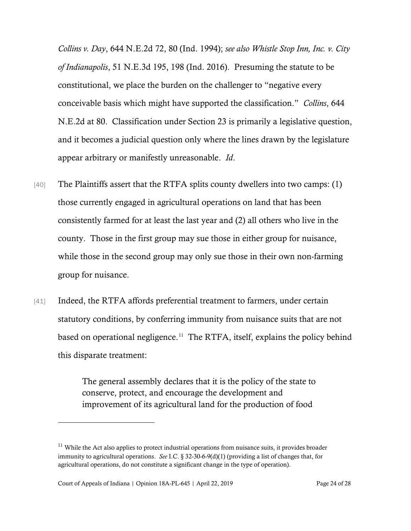*Collins v. Day*, 644 N.E.2d 72, 80 (Ind. 1994); *see also Whistle Stop Inn, Inc. v. City of Indianapolis*, 51 N.E.3d 195, 198 (Ind. 2016). Presuming the statute to be constitutional, we place the burden on the challenger to "negative every conceivable basis which might have supported the classification." *Collins*, 644 N.E.2d at 80. Classification under Section 23 is primarily a legislative question, and it becomes a judicial question only where the lines drawn by the legislature appear arbitrary or manifestly unreasonable. *Id*.

- [40] The Plaintiffs assert that the RTFA splits county dwellers into two camps: (1) those currently engaged in agricultural operations on land that has been consistently farmed for at least the last year and (2) all others who live in the county. Those in the first group may sue those in either group for nuisance, while those in the second group may only sue those in their own non-farming group for nuisance.
- [41] Indeed, the RTFA affords preferential treatment to farmers, under certain statutory conditions, by conferring immunity from nuisance suits that are not based on operational negligence. [11](#page-23-0) The RTFA, itself, explains the policy behind this disparate treatment:

The general assembly declares that it is the policy of the state to conserve, protect, and encourage the development and improvement of its agricultural land for the production of food

<span id="page-23-0"></span><sup>&</sup>lt;sup>11</sup> While the Act also applies to protect industrial operations from nuisance suits, it provides broader immunity to agricultural operations. *See* I.C. § 32-30-6-9(d)(1) (providing a list of changes that, for agricultural operations, do not constitute a significant change in the type of operation).

Court of Appeals of Indiana | Opinion 18A-PL-645 | April 22, 2019 Page 24 of 28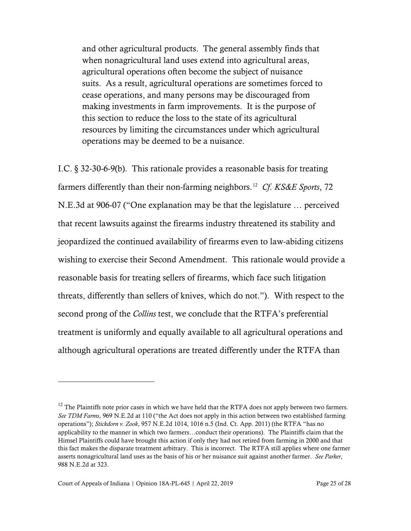and other agricultural products. The general assembly finds that when nonagricultural land uses extend into agricultural areas, agricultural operations often become the subject of nuisance suits. As a result, agricultural operations are sometimes forced to cease operations, and many persons may be discouraged from making investments in farm improvements. It is the purpose of this section to reduce the loss to the state of its agricultural resources by limiting the circumstances under which agricultural operations may be deemed to be a nuisance.

I.C. § 32-30-6-9(b). This rationale provides a reasonable basis for treating farmers differently than their non-farming neighbors. [12](#page-24-0) *Cf*. *KS&E Sports*, 72 N.E.3d at 906-07 ("One explanation may be that the legislature … perceived that recent lawsuits against the firearms industry threatened its stability and jeopardized the continued availability of firearms even to law-abiding citizens wishing to exercise their Second Amendment. This rationale would provide a reasonable basis for treating sellers of firearms, which face such litigation threats, differently than sellers of knives, which do not."). With respect to the second prong of the *Collins* test, we conclude that the RTFA's preferential treatment is uniformly and equally available to all agricultural operations and although agricultural operations are treated differently under the RTFA than

<span id="page-24-0"></span> $12$  The Plaintiffs note prior cases in which we have held that the RTFA does not apply between two farmers. *See TDM Farms*, 969 N.E.2d at 110 ("the Act does not apply in this action between two established farming operations"); *Stickdorn v. Zook*, 957 N.E.2d 1014, 1016 n.5 (Ind. Ct. App. 2011) (the RTFA "has no applicability to the manner in which two farmers…conduct their operations). The Plaintiffs claim that the Himsel Plaintiffs could have brought this action if only they had not retired from farming in 2000 and that this fact makes the disparate treatment arbitrary. This is incorrect. The RTFA still applies where one farmer asserts nonagricultural land uses as the basis of his or her nuisance suit against another farmer. *See Parker*, 988 N.E.2d at 323.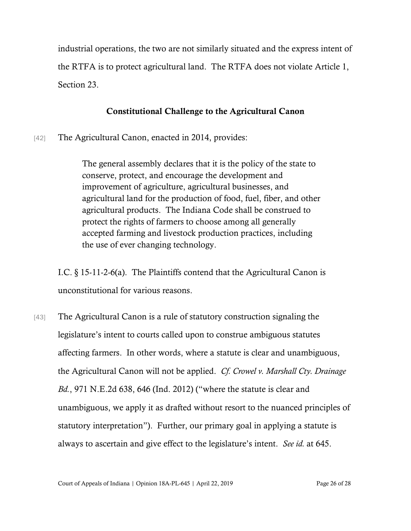industrial operations, the two are not similarly situated and the express intent of the RTFA is to protect agricultural land. The RTFA does not violate Article 1, Section 23.

## Constitutional Challenge to the Agricultural Canon

[42] The Agricultural Canon, enacted in 2014, provides:

The general assembly declares that it is the policy of the state to conserve, protect, and encourage the development and improvement of agriculture, agricultural businesses, and agricultural land for the production of food, fuel, fiber, and other agricultural products. The Indiana Code shall be construed to protect the rights of farmers to choose among all generally accepted farming and livestock production practices, including the use of ever changing technology.

I.C. § 15-11-2-6(a). The Plaintiffs contend that the Agricultural Canon is unconstitutional for various reasons.

[43] The Agricultural Canon is a rule of statutory construction signaling the legislature's intent to courts called upon to construe ambiguous statutes affecting farmers. In other words, where a statute is clear and unambiguous, the Agricultural Canon will not be applied. *Cf. Crowel v. Marshall Cty. Drainage Bd.*, 971 N.E.2d 638, 646 (Ind. 2012) ("where the statute is clear and unambiguous, we apply it as drafted without resort to the nuanced principles of statutory interpretation"). Further, our primary goal in applying a statute is always to ascertain and give effect to the legislature's intent. *See id.* at 645.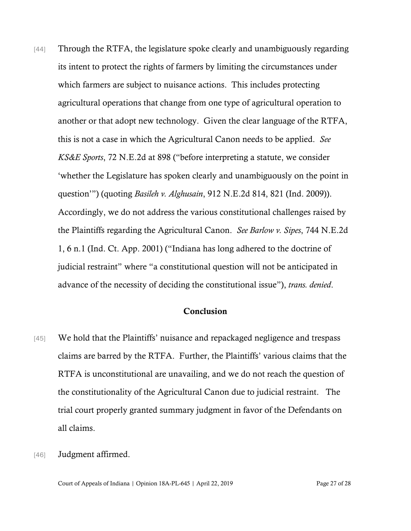[44] Through the RTFA, the legislature spoke clearly and unambiguously regarding its intent to protect the rights of farmers by limiting the circumstances under which farmers are subject to nuisance actions. This includes protecting agricultural operations that change from one type of agricultural operation to another or that adopt new technology. Given the clear language of the RTFA, this is not a case in which the Agricultural Canon needs to be applied. *See KS&E Sports*, 72 N.E.2d at 898 ("before interpreting a statute, we consider 'whether the Legislature has spoken clearly and unambiguously on the point in question'") (quoting *Basileh v. Alghusain*, 912 N.E.2d 814, 821 (Ind. 2009)). Accordingly, we do not address the various constitutional challenges raised by the Plaintiffs regarding the Agricultural Canon. *See Barlow v. Sipes*, 744 N.E.2d 1, 6 n.1 (Ind. Ct. App. 2001) ("Indiana has long adhered to the doctrine of judicial restraint" where "a constitutional question will not be anticipated in advance of the necessity of deciding the constitutional issue"), *trans. denied*.

### Conclusion

- [45] We hold that the Plaintiffs' nuisance and repackaged negligence and trespass claims are barred by the RTFA. Further, the Plaintiffs' various claims that the RTFA is unconstitutional are unavailing, and we do not reach the question of the constitutionality of the Agricultural Canon due to judicial restraint. The trial court properly granted summary judgment in favor of the Defendants on all claims.
- [46] **Judgment affirmed.**